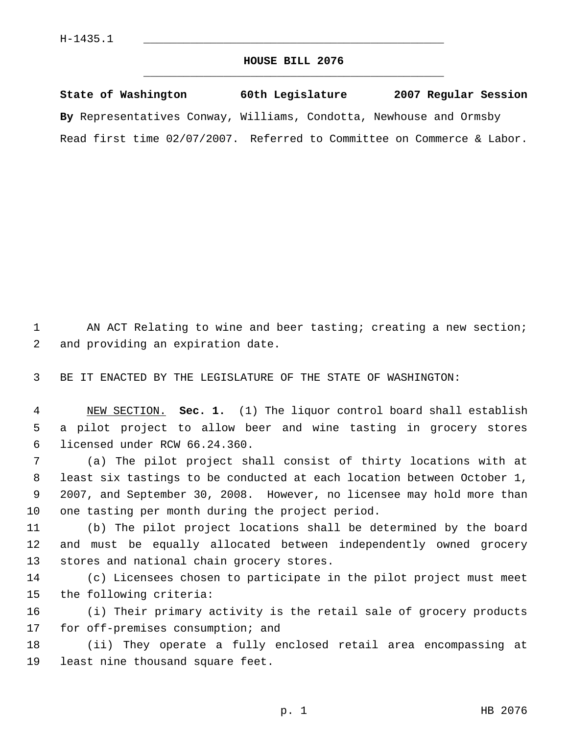## **HOUSE BILL 2076** \_\_\_\_\_\_\_\_\_\_\_\_\_\_\_\_\_\_\_\_\_\_\_\_\_\_\_\_\_\_\_\_\_\_\_\_\_\_\_\_\_\_\_\_\_

| State of Washington                                                    | 60th Legislature | 2007 Regular Session |
|------------------------------------------------------------------------|------------------|----------------------|
| By Representatives Conway, Williams, Condotta, Newhouse and Ormsby     |                  |                      |
| Read first time 02/07/2007. Referred to Committee on Commerce & Labor. |                  |                      |

1 AN ACT Relating to wine and beer tasting; creating a new section; and providing an expiration date.

BE IT ENACTED BY THE LEGISLATURE OF THE STATE OF WASHINGTON:

 NEW SECTION. **Sec. 1.** (1) The liquor control board shall establish a pilot project to allow beer and wine tasting in grocery stores licensed under RCW 66.24.360.

 (a) The pilot project shall consist of thirty locations with at least six tastings to be conducted at each location between October 1, 2007, and September 30, 2008. However, no licensee may hold more than one tasting per month during the project period.

 (b) The pilot project locations shall be determined by the board and must be equally allocated between independently owned grocery stores and national chain grocery stores.

 (c) Licensees chosen to participate in the pilot project must meet the following criteria:

 (i) Their primary activity is the retail sale of grocery products for off-premises consumption; and

 (ii) They operate a fully enclosed retail area encompassing at least nine thousand square feet.